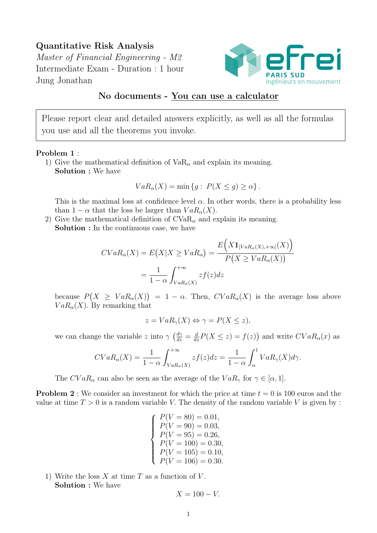## Quantitative Risk Analysis

Master of Financial Engineering - M2 Intermediate Exam - Duration : 1 hour Jung Jonathan



## No documents - You can use a calculator

Please report clear and detailed answers explicitly, as well as all the formulas you use and all the theorems you invoke.

## Problem 1 :

1) Give the mathematical definition of  $VaR_{\alpha}$  and explain its meaning. Solution : We have

$$
VaR_{\alpha}(X) = \min \{ g : P(X \le g) \ge \alpha \}.
$$

This is the maximal loss at confidence level  $\alpha$ . In other words, there is a probability less than  $1 - \alpha$  that the loss be larger than  $VaR_{\alpha}(X)$ .

2) Give the mathematical definition of  $CVaR_{\alpha}$  and explain its meaning. Solution : In the continuous case, we have

$$
CVaR_{\alpha}(X) = E(X|X \ge VaR_{\alpha}) = \frac{E(X\mathbf{1}_{[VaR_{\alpha}(X), +\infty]}(X))}{P(X \ge VaR_{\alpha}(X))}
$$

$$
= \frac{1}{1-\alpha} \int_{VaR_{\alpha}(X)}^{+\infty} zf(z)dz
$$

because  $P(X \geq VaR_{\alpha}(X)) = 1 - \alpha$ . Then,  $CVaR_{\alpha}(X)$  is the average loss above  $VaR_{\alpha}(X)$ . By remarking that

$$
z = VaR_{\gamma}(X) \Leftrightarrow \gamma = P(X \le z),
$$

we can change the variable z into  $\gamma \left(\frac{d\gamma}{dz} = \frac{d}{dz}P(X \le z) = f(z)\right)$  and write  $CVaR_{\alpha}(x)$  as

$$
CVaR_{\alpha}(X) = \frac{1}{1-\alpha} \int_{VaR_{\alpha}(X)}^{+\infty} z f(z) dz = \frac{1}{1-\alpha} \int_{\alpha}^{1} VaR_{\gamma}(X) d\gamma.
$$

The  $CVaR_{\alpha}$  can also be seen as the average of the  $VaR_{\gamma}$  for  $\gamma \in [\alpha, 1]$ .

**Problem 2**: We consider an investment for which the price at time  $t = 0$  is 100 euros and the value at time  $T > 0$  is a random variable V. The density of the random variable V is given by :

> $\sqrt{ }$  $\int$  $\overline{\mathcal{L}}$  $P(V = 80) = 0.01,$  $P(V = 90) = 0.03,$  $P(V = 95) = 0.26,$  $P(V = 100) = 0.30,$  $P(V = 105) = 0.10,$  $P(V = 106) = 0.30.$

1) Write the loss  $X$  at time  $T$  as a function of  $V$ . Solution : We have

$$
X = 100 - V.
$$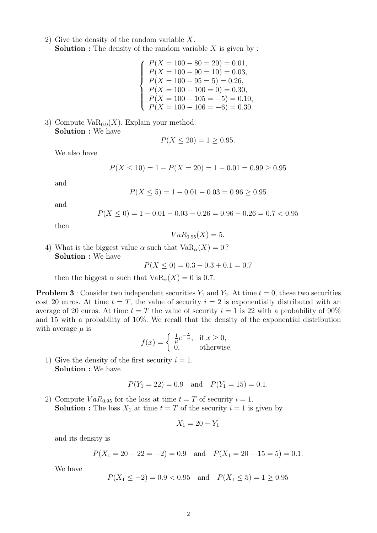- 2) Give the density of the random variable X. **Solution :** The density of the random variable  $X$  is given by :
	- $\sqrt{ }$  $\int$  $\overline{\mathcal{L}}$  $P(X = 100 - 80 = 20) = 0.01,$  $P(X = 100 - 90 = 10) = 0.03,$  $P(X = 100 - 95 = 5) = 0.26,$  $P(X = 100 - 100 = 0) = 0.30,$  $P(X = 100 - 105 = -5) = 0.10,$  $P(X = 100 - 106 = -6) = 0.30.$

3) Compute  $VaR_{0.9}(X)$ . Explain your method. Solution : We have

$$
P(X \le 20) = 1 \ge 0.95.
$$

We also have

$$
P(X \le 10) = 1 - P(X = 20) = 1 - 0.01 = 0.99 \ge 0.95
$$

and

$$
P(X \le 5) = 1 - 0.01 - 0.03 = 0.96 \ge 0.95
$$

and

$$
P(X \le 0) = 1 - 0.01 - 0.03 - 0.26 = 0.96 - 0.26 = 0.7 < 0.95
$$

then

$$
VaR_{0.95}(X)=5.
$$

4) What is the biggest value  $\alpha$  such that  $VaR_{\alpha}(X) = 0$ ? Solution : We have

$$
P(X \le 0) = 0.3 + 0.3 + 0.1 = 0.7
$$

then the biggest  $\alpha$  such that  $VaR_{\alpha}(X) = 0$  is 0.7.

**Problem 3** : Consider two independent securities  $Y_1$  and  $Y_2$ . At time  $t = 0$ , these two securities cost 20 euros. At time  $t = T$ , the value of security  $i = 2$  is exponentially distributed with an average of 20 euros. At time  $t = T$  the value of security  $i = 1$  is 22 with a probability of 90% and 15 with a probability of 10%. We recall that the density of the exponential distribution with average  $\mu$  is

$$
f(x) = \begin{cases} \frac{1}{\mu} e^{-\frac{x}{\mu}}, & \text{if } x \ge 0, \\ 0, & \text{otherwise.} \end{cases}
$$

1) Give the density of the first security  $i = 1$ . Solution : We have

$$
P(Y_1 = 22) = 0.9
$$
 and  $P(Y_1 = 15) = 0.1$ .

2) Compute  $VaR_{0.95}$  for the loss at time  $t = T$  of security  $i = 1$ . **Solution :** The loss  $X_1$  at time  $t = T$  of the security  $i = 1$  is given by

$$
X_1 = 20 - Y_1
$$

and its density is

$$
P(X_1 = 20 - 22 = -2) = 0.9
$$
 and  $P(X_1 = 20 - 15 = 5) = 0.1$ .

We have

$$
P(X_1 \le -2) = 0.9 < 0.95
$$
 and  $P(X_1 \le 5) = 1 \ge 0.95$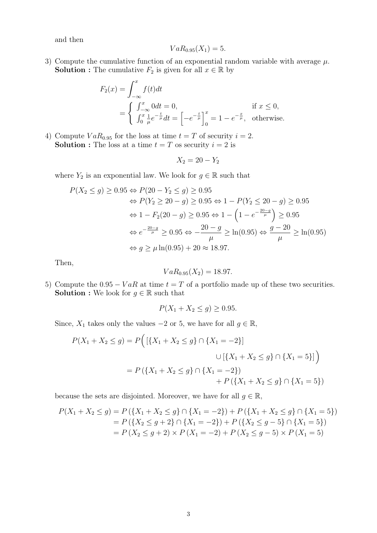and then

$$
VaR_{0.95}(X_1)=5.
$$

3) Compute the cumulative function of an exponential random variable with average  $\mu$ . **Solution :** The cumulative  $F_2$  is given for all  $x \in \mathbb{R}$  by

$$
F_2(x) = \int_{-\infty}^x f(t)dt
$$
  
=  $\begin{cases} \int_{-\infty}^x 0 dt = 0, \\ \int_0^x \frac{1}{\mu} e^{-\frac{t}{\mu}} dt = \left[ -e^{-\frac{t}{\mu}} \right]_0^x = 1 - e^{-\frac{x}{\mu}}, \text{ otherwise.} \end{cases}$ 

4) Compute  $VaR_{0.95}$  for the loss at time  $t = T$  of security  $i = 2$ . **Solution :** The loss at a time  $t = T$  os security  $i = 2$  is

$$
X_2 = 20 - Y_2
$$

where  $Y_2$  is an exponential law. We look for  $g \in \mathbb{R}$  such that

$$
P(X_2 \le g) \ge 0.95 \Leftrightarrow P(20 - Y_2 \le g) \ge 0.95
$$
  
\n
$$
\Leftrightarrow P(Y_2 \ge 20 - g) \ge 0.95 \Leftrightarrow 1 - P(Y_2 \le 20 - g) \ge 0.95
$$
  
\n
$$
\Leftrightarrow 1 - F_2(20 - g) \ge 0.95 \Leftrightarrow 1 - \left(1 - e^{-\frac{20 - g}{\mu}}\right) \ge 0.95
$$
  
\n
$$
\Leftrightarrow e^{-\frac{20 - g}{\mu}} \ge 0.95 \Leftrightarrow -\frac{20 - g}{\mu} \ge \ln(0.95) \Leftrightarrow \frac{g - 20}{\mu} \ge \ln(0.95)
$$
  
\n
$$
\Leftrightarrow g \ge \mu \ln(0.95) + 20 \approx 18.97.
$$

Then,

$$
VaR_{0.95}(X_2)=18.97.
$$

5) Compute the  $0.95 - VaR$  at time  $t = T$  of a portfolio made up of these two securities. **Solution :** We look for  $g \in \mathbb{R}$  such that

$$
P(X_1 + X_2 \le g) \ge 0.95.
$$

Since,  $X_1$  takes only the values  $-2$  or 5, we have for all  $g \in \mathbb{R}$ ,

$$
P(X_1 + X_2 \le g) = P\Big(\left[\{X_1 + X_2 \le g\} \cap \{X_1 = -2\}\right]
$$
  

$$
\cup \left[\{X_1 + X_2 \le g\} \cap \{X_1 = 5\}\right]\Big)
$$
  

$$
= P\left(\{X_1 + X_2 \le g\} \cap \{X_1 = -2\}\right)
$$
  

$$
+ P\left(\{X_1 + X_2 \le g\} \cap \{X_1 = 5\}\right)
$$

because the sets are disjointed. Moreover, we have for all  $g \in \mathbb{R}$ ,

$$
P(X_1 + X_2 \le g) = P(\lbrace X_1 + X_2 \le g \rbrace \cap \lbrace X_1 = -2 \rbrace) + P(\lbrace X_1 + X_2 \le g \rbrace \cap \lbrace X_1 = 5 \rbrace)
$$
  
=  $P(\lbrace X_2 \le g+2 \rbrace \cap \lbrace X_1 = -2 \rbrace) + P(\lbrace X_2 \le g-5 \rbrace \cap \lbrace X_1 = 5 \rbrace)$   
=  $P(X_2 \le g+2) \times P(X_1 = -2) + P(X_2 \le g-5) \times P(X_1 = 5)$